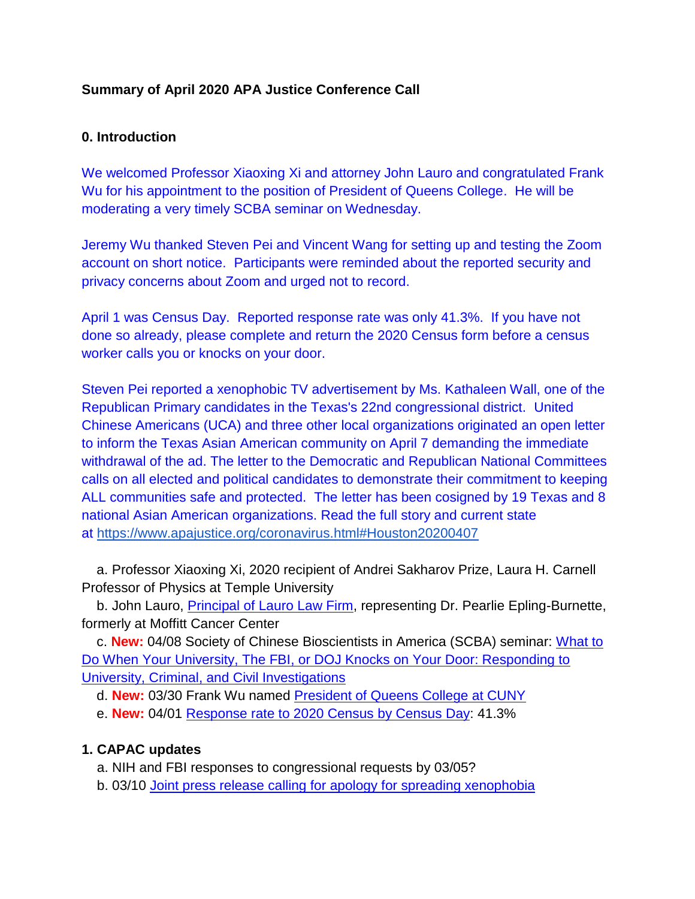### **Summary of April 2020 APA Justice Conference Call**

### **0. Introduction**

We welcomed Professor Xiaoxing Xi and attorney John Lauro and congratulated Frank Wu for his appointment to the position of President of Queens College. He will be moderating a very timely SCBA seminar on Wednesday.

Jeremy Wu thanked Steven Pei and Vincent Wang for setting up and testing the Zoom account on short notice. Participants were reminded about the reported security and privacy concerns about Zoom and urged not to record.

April 1 was Census Day. Reported response rate was only 41.3%. If you have not done so already, please complete and return the 2020 Census form before a census worker calls you or knocks on your door.

Steven Pei reported a xenophobic TV advertisement by Ms. Kathaleen Wall, one of the Republican Primary candidates in the Texas's 22nd congressional district. United Chinese Americans (UCA) and three other local organizations originated an open letter to inform the Texas Asian American community on April 7 demanding the immediate withdrawal of the ad. The letter to the Democratic and Republican National Committees calls on all elected and political candidates to demonstrate their commitment to keeping ALL communities safe and protected. The letter has been cosigned by 19 Texas and 8 national Asian American organizations. Read the full story and current state at <https://www.apajustice.org/coronavirus.html#Houston20200407>

a. Professor Xiaoxing Xi, 2020 recipient of Andrei Sakharov Prize, Laura H. Carnell Professor of Physics at Temple University

b. John Lauro, [Principal of Lauro](http://bit.ly/38Tfa1o) Law Firm, representing Dr. Pearlie Epling-Burnette, formerly at Moffitt Cancer Center

c. **New:** 04/08 Society of Chinese Bioscientists in America (SCBA) seminar: [What to](https://www.apajustice.org/forums.html)  [Do When Your University, The FBI, or DOJ Knocks on Your Door: Responding to](https://www.apajustice.org/forums.html)  [University, Criminal, and Civil Investigations](https://www.apajustice.org/forums.html)

d. **New:** 03/30 Frank Wu named [President of Queens College at CUNY](https://bit.ly/2Jo2FRe)

e. **New:** 04/01 [Response rate to 2020 Census by](https://bit.ly/2JD4MRa) Census Day: 41.3%

# **1. CAPAC updates**

a. NIH and FBI responses to congressional requests by 03/05?

b. 03/10 [Joint press release calling for apology for spreading xenophobia](http://bit.ly/39WzZKM)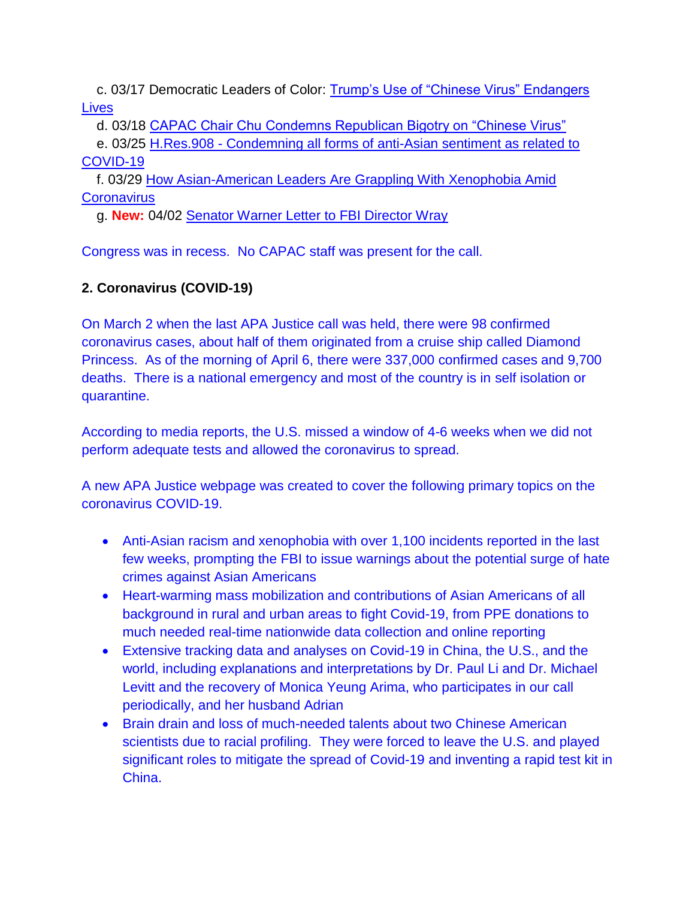c. 03/17 Democratic Leaders of Color: [Trump's Use of "Chinese Virus" Endangers](http://bit.ly/2xaRMiH)  **[Lives](http://bit.ly/2xaRMiH)** 

d. 03/18 [CAPAC Chair Chu Condemns Republican Bigotry on "Chinese Virus"](http://bit.ly/2QsWsHN)

e. 03/25 H.Res.908 - [Condemning all forms of anti-Asian sentiment as related to](https://bit.ly/2UDQeWB)  [COVID-19](https://bit.ly/2UDQeWB)

f. 03/29 [How Asian-American Leaders Are Grappling With Xenophobia Amid](https://nyti.ms/2X8dsH8)  **[Coronavirus](https://nyti.ms/2X8dsH8)** 

g. **New:** 04/02 [Senator Warner Letter to FBI Director Wray](https://www.apajustice.org/developments.html)

Congress was in recess. No CAPAC staff was present for the call.

# **2. Coronavirus (COVID-19)**

On March 2 when the last APA Justice call was held, there were 98 confirmed coronavirus cases, about half of them originated from a cruise ship called Diamond Princess. As of the morning of April 6, there were 337,000 confirmed cases and 9,700 deaths. There is a national emergency and most of the country is in self isolation or quarantine.

According to media reports, the U.S. missed a window of 4-6 weeks when we did not perform adequate tests and allowed the coronavirus to spread.

A new APA Justice webpage was created to cover the following primary topics on the coronavirus COVID-19.

- Anti-Asian racism and xenophobia with over 1,100 incidents reported in the last few weeks, prompting the FBI to issue warnings about the potential surge of hate crimes against Asian Americans
- Heart-warming mass mobilization and contributions of Asian Americans of all background in rural and urban areas to fight Covid-19, from PPE donations to much needed real-time nationwide data collection and online reporting
- Extensive tracking data and analyses on Covid-19 in China, the U.S., and the world, including explanations and interpretations by Dr. Paul Li and Dr. Michael Levitt and the recovery of Monica Yeung Arima, who participates in our call periodically, and her husband Adrian
- Brain drain and loss of much-needed talents about two Chinese American scientists due to racial profiling. They were forced to leave the U.S. and played significant roles to mitigate the spread of Covid-19 and inventing a rapid test kit in China.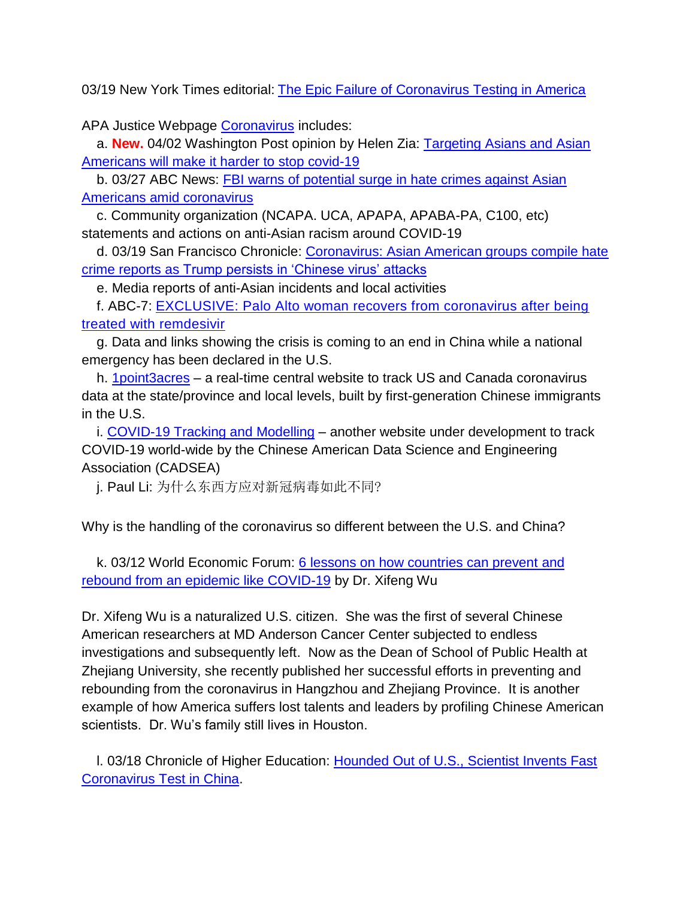03/19 New York Times editorial: [The Epic Failure of Coronavirus Testing in America](https://nyti.ms/3dgIcvq)

APA Justice Webpage [Coronavirus](https://www.apajustice.org/coronavirus.html) includes:

a. **New.** 04/02 Washington Post opinion by Helen Zia: [Targeting Asians and Asian](https://wapo.st/2UEZFpS)  [Americans will make it harder to stop covid-19](https://wapo.st/2UEZFpS)

b. 03/27 ABC News: **FBI warns of potential surge in hate crimes against Asian** [Americans amid coronavirus](https://abcn.ws/2y58QHp)

c. Community organization (NCAPA. UCA, APAPA, APABA-PA, C100, etc) statements and actions on anti-Asian racism around COVID-19

d. 03/19 San Francisco Chronicle: [Coronavirus: Asian American groups compile hate](https://bit.ly/2IYQ72F)  [crime reports as Trump persists in 'Chinese virus' attacks](https://bit.ly/2IYQ72F)

e. Media reports of anti-Asian incidents and local activities

f. ABC-7: [EXCLUSIVE: Palo Alto woman recovers from coronavirus after being](https://abc7ne.ws/39jsagW)  [treated with remdesivir](https://abc7ne.ws/39jsagW)

g. Data and links showing the crisis is coming to an end in China while a national emergency has been declared in the U.S.

h. [1point3acres](http://bit.ly/2IRqSio) – a real-time central website to track US and Canada coronavirus data at the state/province and local levels, built by first-generation Chinese immigrants in the U.S.

i. [COVID-19 Tracking and Modelling](http://bit.ly/33wzHaW) – another website under development to track COVID-19 world-wide by the Chinese American Data Science and Engineering Association (CADSEA)

j. Paul Li: 为什么东西方应对新冠病毒如此不同?

Why is the handling of the coronavirus so different between the U.S. and China?

k. 03/12 World Economic Forum: [6 lessons on how countries can prevent](http://bit.ly/2Qjea09) and [rebound from an epidemic like COVID-19](http://bit.ly/2Qjea09) by Dr. Xifeng Wu

Dr. Xifeng Wu is a naturalized U.S. citizen. She was the first of several Chinese American researchers at MD Anderson Cancer Center subjected to endless investigations and subsequently left. Now as the Dean of School of Public Health at Zhejiang University, she recently published her successful efforts in preventing and rebounding from the coronavirus in Hangzhou and Zhejiang Province. It is another example of how America suffers lost talents and leaders by profiling Chinese American scientists. Dr. Wu's family still lives in Houston.

l. 03/18 Chronicle of Higher Education: [Hounded Out of U.S., Scientist Invents Fast](http://bit.ly/33tvZPn)  [Coronavirus Test in China.](http://bit.ly/33tvZPn)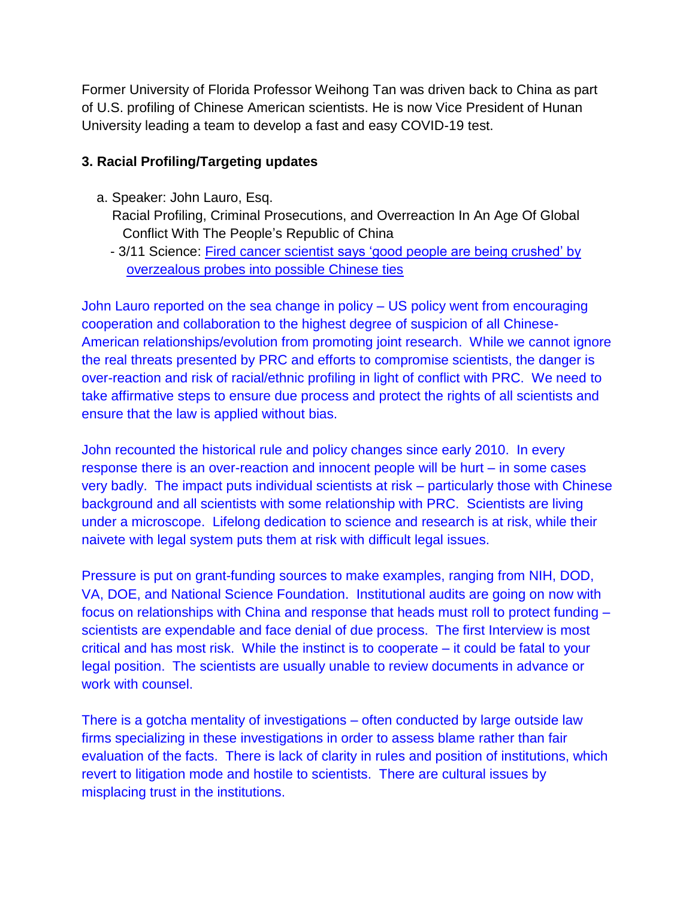Former University of Florida Professor Weihong Tan was driven back to China as part of U.S. profiling of Chinese American scientists. He is now Vice President of Hunan University leading a team to develop a fast and easy COVID-19 test.

### **3. Racial Profiling/Targeting updates**

- a. Speaker: John Lauro, Esq.
	- Racial Profiling, Criminal Prosecutions, and Overreaction In An Age Of Global Conflict With The People's Republic of China
	- 3/11 Science: [Fired cancer scientist says 'good people are being crushed' by](http://bit.ly/2ILbiVu)  [overzealous probes into possible Chinese ties](http://bit.ly/2ILbiVu)

John Lauro reported on the sea change in policy – US policy went from encouraging cooperation and collaboration to the highest degree of suspicion of all Chinese-American relationships/evolution from promoting joint research. While we cannot ignore the real threats presented by PRC and efforts to compromise scientists, the danger is over-reaction and risk of racial/ethnic profiling in light of conflict with PRC. We need to take affirmative steps to ensure due process and protect the rights of all scientists and ensure that the law is applied without bias.

John recounted the historical rule and policy changes since early 2010. In every response there is an over-reaction and innocent people will be hurt – in some cases very badly. The impact puts individual scientists at risk – particularly those with Chinese background and all scientists with some relationship with PRC. Scientists are living under a microscope. Lifelong dedication to science and research is at risk, while their naivete with legal system puts them at risk with difficult legal issues.

Pressure is put on grant-funding sources to make examples, ranging from NIH, DOD, VA, DOE, and National Science Foundation. Institutional audits are going on now with focus on relationships with China and response that heads must roll to protect funding – scientists are expendable and face denial of due process. The first Interview is most critical and has most risk. While the instinct is to cooperate – it could be fatal to your legal position. The scientists are usually unable to review documents in advance or work with counsel.

There is a gotcha mentality of investigations – often conducted by large outside law firms specializing in these investigations in order to assess blame rather than fair evaluation of the facts. There is lack of clarity in rules and position of institutions, which revert to litigation mode and hostile to scientists. There are cultural issues by misplacing trust in the institutions.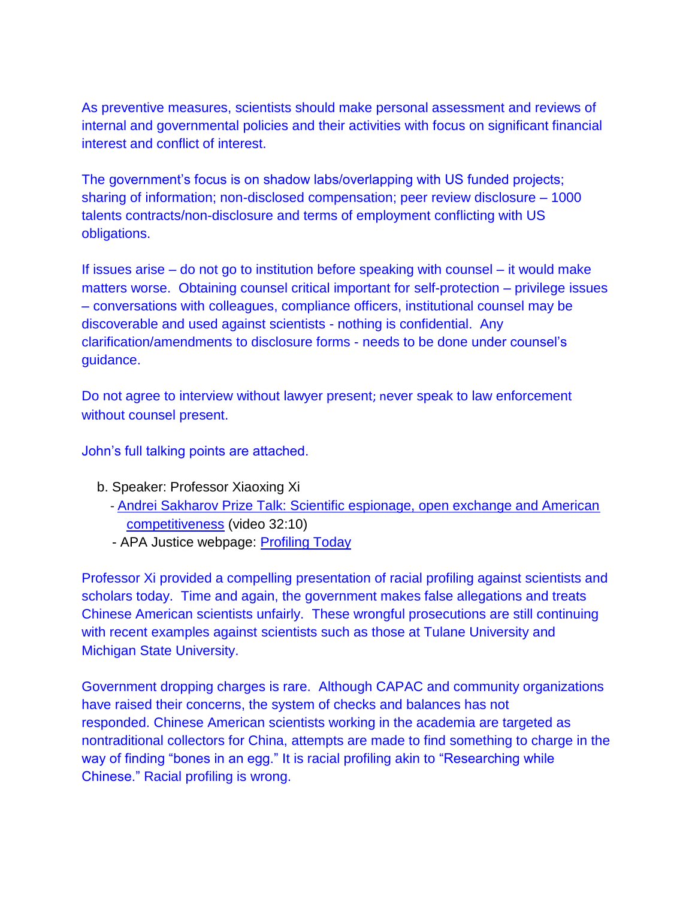As preventive measures, scientists should make personal assessment and reviews of internal and governmental policies and their activities with focus on significant financial interest and conflict of interest.

The government's focus is on shadow labs/overlapping with US funded projects; sharing of information; non-disclosed compensation; peer review disclosure – 1000 talents contracts/non-disclosure and terms of employment conflicting with US obligations.

If issues arise – do not go to institution before speaking with counsel – it would make matters worse. Obtaining counsel critical important for self-protection – privilege issues – conversations with colleagues, compliance officers, institutional counsel may be discoverable and used against scientists - nothing is confidential. Any clarification/amendments to disclosure forms - needs to be done under counsel's guidance.

Do not agree to interview without lawyer present; never speak to law enforcement without counsel present.

John's full talking points are attached.

- b. Speaker: Professor Xiaoxing Xi
	- [Andrei Sakharov Prize Talk: Scientific espionage, open exchange and American](http://bit.ly/2Tt7hvf)  [competitiveness](http://bit.ly/2Tt7hvf) (video 32:10)
	- APA Justice webpage: [Profiling Today](https://www.apajustice.org/profiling-today.html)

Professor Xi provided a compelling presentation of racial profiling against scientists and scholars today. Time and again, the government makes false allegations and treats Chinese American scientists unfairly. These wrongful prosecutions are still continuing with recent examples against scientists such as those at Tulane University and Michigan State University.

Government dropping charges is rare. Although CAPAC and community organizations have raised their concerns, the system of checks and balances has not responded. Chinese American scientists working in the academia are targeted as nontraditional collectors for China, attempts are made to find something to charge in the way of finding "bones in an egg." It is racial profiling akin to "Researching while Chinese." Racial profiling is wrong.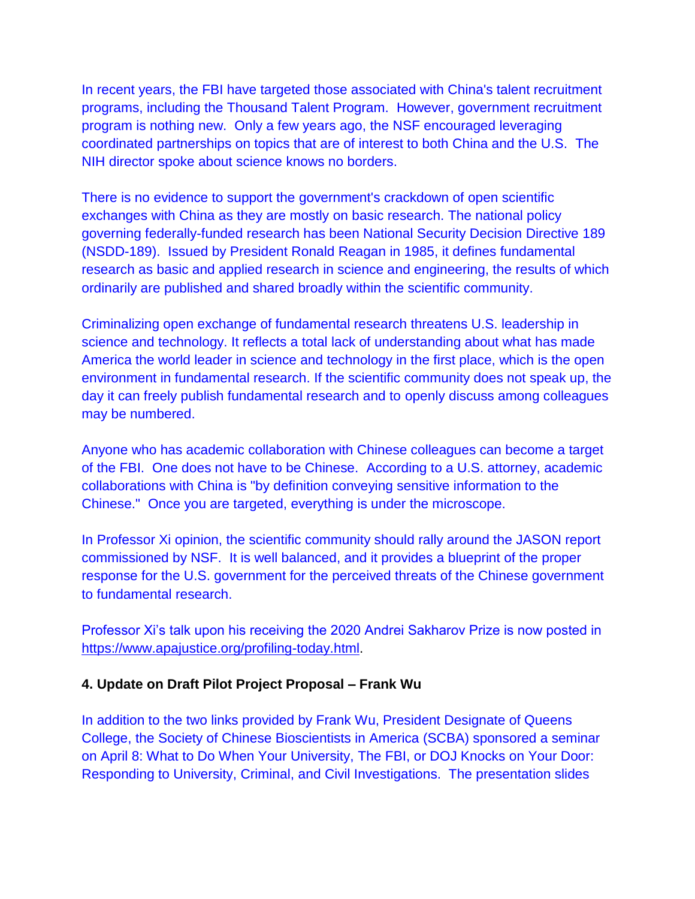In recent years, the FBI have targeted those associated with China's talent recruitment programs, including the Thousand Talent Program. However, government recruitment program is nothing new. Only a few years ago, the NSF encouraged leveraging coordinated partnerships on topics that are of interest to both China and the U.S. The NIH director spoke about science knows no borders.

There is no evidence to support the government's crackdown of open scientific exchanges with China as they are mostly on basic research. The national policy governing federally-funded research has been National Security Decision Directive 189 (NSDD-189). Issued by President Ronald Reagan in 1985, it defines fundamental research as basic and applied research in science and engineering, the results of which ordinarily are published and shared broadly within the scientific community.

Criminalizing open exchange of fundamental research threatens U.S. leadership in science and technology. It reflects a total lack of understanding about what has made America the world leader in science and technology in the first place, which is the open environment in fundamental research. If the scientific community does not speak up, the day it can freely publish fundamental research and to openly discuss among colleagues may be numbered.

Anyone who has academic collaboration with Chinese colleagues can become a target of the FBI. One does not have to be Chinese. According to a U.S. attorney, academic collaborations with China is "by definition conveying sensitive information to the Chinese." Once you are targeted, everything is under the microscope.

In Professor Xi opinion, the scientific community should rally around the JASON report commissioned by NSF. It is well balanced, and it provides a blueprint of the proper response for the U.S. government for the perceived threats of the Chinese government to fundamental research.

Professor Xi's talk upon his receiving the 2020 Andrei Sakharov Prize is now posted in [https://www.apajustice.org/profiling-today.html.](https://www.apajustice.org/profiling-today.html)

#### **4. Update on Draft Pilot Project Proposal – Frank Wu**

In addition to the two links provided by Frank Wu, President Designate of Queens College, the Society of Chinese Bioscientists in America (SCBA) sponsored a seminar on April 8: What to Do When Your University, The FBI, or DOJ Knocks on Your Door: Responding to University, Criminal, and Civil Investigations. The presentation slides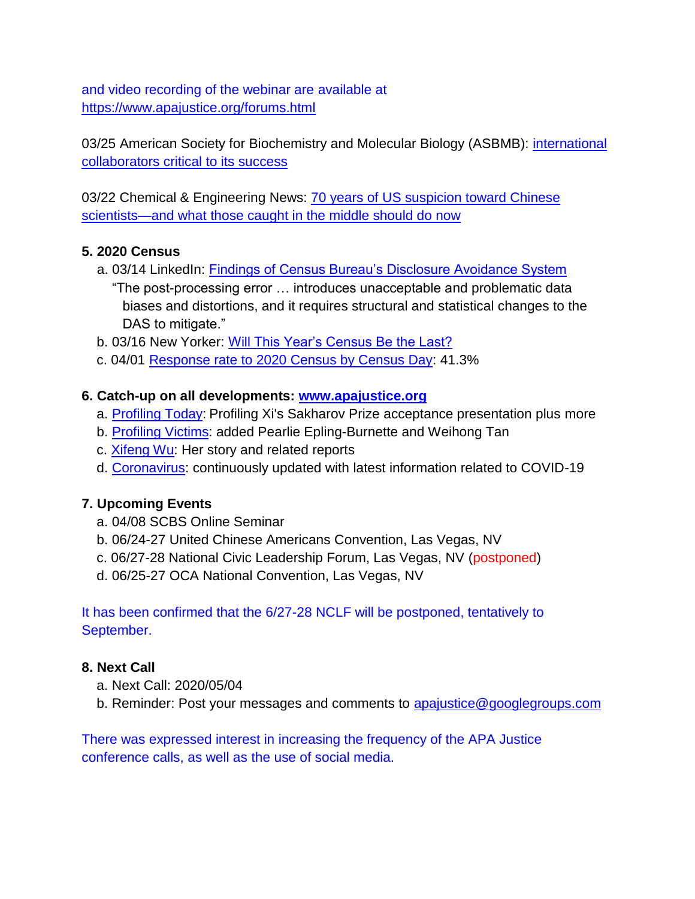and video recording of the webinar are available at <https://www.apajustice.org/forums.html>

03/25 American Society for Biochemistry and Molecular Biology (ASBMB): international [collaborators critical to its success](https://bit.ly/2UTVaqm)

03/22 Chemical & Engineering News: [70 years of US suspicion toward Chinese](https://bit.ly/3doxVxi)  [scientists—and what those caught in the middle should do now](https://bit.ly/3doxVxi)

### **5. 2020 Census**

- a. 03/14 LinkedIn: [Findings of Census Bureau's Disclosure Avoidance System](http://bit.ly/3aYlgze) "The post-processing error … introduces unacceptable and problematic data biases and distortions, and it requires structural and statistical changes to the DAS to mitigate."
- b. 03/16 New Yorker: [Will This Year's Census Be the Last?](http://bit.ly/39Sltnj)
- c. 04/01 [Response rate to 2020 Census by Census Day:](https://bit.ly/2JD4MRa) 41.3%

### **6. Catch-up on all developments: [www.apajustice.org](file:///C:/Users/Jeremy/Documents/Home/My%20APAJustice/My%20CAPAC/www.apajustice.org)**

- a. [Profiling Today:](https://www.apajustice.org/profiling-today.html) Profiling Xi's Sakharov Prize acceptance presentation plus more
- b. [Profiling Victims:](https://www.apajustice.org/victims.html) added Pearlie Epling-Burnette and Weihong Tan
- c. [Xifeng Wu:](https://www.apajustice.org/xifeng-wu.html) Her story and related reports
- d. [Coronavirus:](https://www.apajustice.org/coronavirus.html) continuously updated with latest information related to COVID-19

# **7. Upcoming Events**

- a. 04/08 SCBS Online Seminar
- b. 06/24-27 United Chinese Americans Convention, Las Vegas, NV
- c. 06/27-28 National Civic Leadership Forum, Las Vegas, NV (postponed)
- d. 06/25-27 OCA National Convention, Las Vegas, NV

It has been confirmed that the 6/27-28 NCLF will be postponed, tentatively to September.

# **8. Next Call**

- a. Next Call: 2020/05/04
- b. Reminder: Post your messages and comments to [apajustice@googlegroups.com](mailto:apajustice@googlegroups.com)

There was expressed interest in increasing the frequency of the APA Justice conference calls, as well as the use of social media.